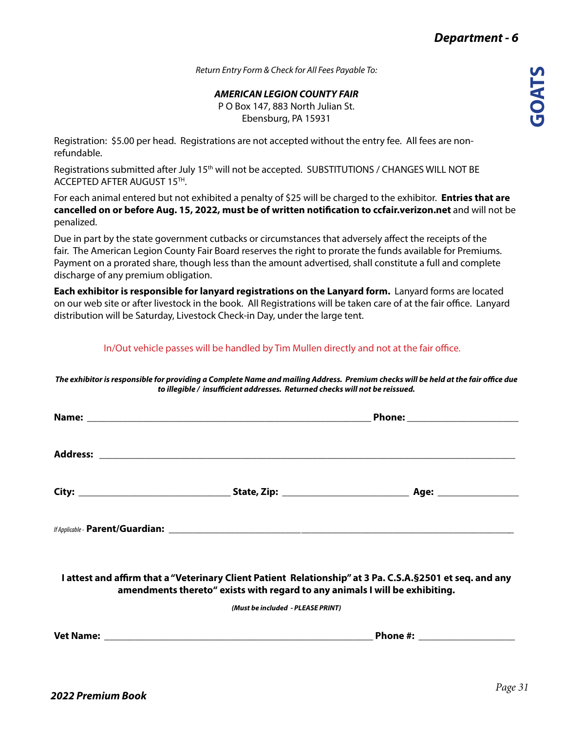*Return Entry Form & Check for All Fees Payable To:*

*AMERICAN LEGION COUNTY FAIR*

P O Box 147, 883 North Julian St. Ebensburg, PA 15931

Registration: \$5.00 per head. Registrations are not accepted without the entry fee. All fees are nonrefundable.

Registrations submitted after July 15<sup>th</sup> will not be accepted. SUBSTITUTIONS / CHANGES WILL NOT BE ACCEPTED AFTER AUGUST 15TH.

For each animal entered but not exhibited a penalty of \$25 will be charged to the exhibitor. **Entries that are cancelled on or before Aug. 15, 2022, must be of written notification to ccfair.verizon.net** and will not be penalized.

Due in part by the state government cutbacks or circumstances that adversely affect the receipts of the fair. The American Legion County Fair Board reserves the right to prorate the funds available for Premiums. Payment on a prorated share, though less than the amount advertised, shall constitute a full and complete discharge of any premium obligation.

**Each exhibitor is responsible for lanyard registrations on the Lanyard form.** Lanyard forms are located on our web site or after livestock in the book. All Registrations will be taken care of at the fair office. Lanyard distribution will be Saturday, Livestock Check-in Day, under the large tent.

In/Out vehicle passes will be handled by Tim Mullen directly and not at the fair office.

*The exhibitor is responsible for providing a Complete Name and mailing Address. Premium checks will be held at the fair office due to illegible / insufficient addresses. Returned checks will not be reissued.*

|                                                                                                                                                                                           | Phone: ________________________ |  |  |
|-------------------------------------------------------------------------------------------------------------------------------------------------------------------------------------------|---------------------------------|--|--|
|                                                                                                                                                                                           |                                 |  |  |
|                                                                                                                                                                                           |                                 |  |  |
|                                                                                                                                                                                           |                                 |  |  |
| I attest and affirm that a "Veterinary Client Patient Relationship" at 3 Pa. C.S.A. § 2501 et seq. and any<br>amendments thereto" exists with regard to any animals I will be exhibiting. |                                 |  |  |
| (Must be included - PLEASE PRINT)                                                                                                                                                         |                                 |  |  |
|                                                                                                                                                                                           |                                 |  |  |
|                                                                                                                                                                                           |                                 |  |  |